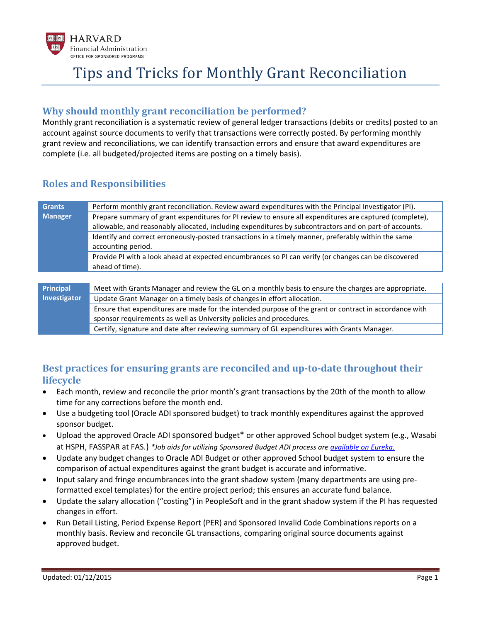

### **Why should monthly grant reconciliation be performed?**

Monthly grant reconciliation is a systematic review of general ledger transactions (debits or credits) posted to an account against source documents to verify that transactions were correctly posted. By performing monthly grant review and reconciliations, we can identify transaction errors and ensure that award expenditures are complete (i.e. all budgeted/projected items are posting on a timely basis).

### **Roles and Responsibilities**

| <b>Grants</b>                    | Perform monthly grant reconciliation. Review award expenditures with the Principal Investigator (PI).   |
|----------------------------------|---------------------------------------------------------------------------------------------------------|
| <b>Manager</b>                   | Prepare summary of grant expenditures for PI review to ensure all expenditures are captured (complete), |
|                                  | allowable, and reasonably allocated, including expenditures by subcontractors and on part-of accounts.  |
|                                  | Identify and correct erroneously-posted transactions in a timely manner, preferably within the same     |
|                                  | accounting period.                                                                                      |
|                                  | Provide PI with a look ahead at expected encumbrances so PI can verify (or changes can be discovered    |
|                                  | ahead of time).                                                                                         |
|                                  |                                                                                                         |
| <b>Principal</b><br>Investigator | Meet with Grants Manager and review the GL on a monthly basis to ensure the charges are appropriate.    |
|                                  | Update Grant Manager on a timely basis of changes in effort allocation.                                 |
|                                  | Ensure that expenditures are made for the intended purpose of the grant or contract in accordance with  |
|                                  | sponsor requirements as well as University policies and procedures.                                     |
|                                  | Certify, signature and date after reviewing summary of GL expenditures with Grants Manager.             |

## **Best practices for ensuring grants are reconciled and up-to-date throughout their lifecycle**

- Each month, review and reconcile the prior month's grant transactions by the 20th of the month to allow time for any corrections before the month end.
- Use a budgeting tool (Oracle ADI sponsored budget) to track monthly expenditures against the approved sponsor budget.
- Upload the approved Oracle ADI sponsored budget\* or other approved School budget system (e.g., Wasabi at HSPH, FASSPAR at FAS.) *\*Job aids for utilizing Sponsored Budget ADI process ar[e available on Eureka.](http://eureka.harvard.edu/Eureka/jobaids.cfm?categoryID=501)*
- Update any budget changes to Oracle ADI Budget or other approved School budget system to ensure the comparison of actual expenditures against the grant budget is accurate and informative.
- Input salary and fringe encumbrances into the grant shadow system (many departments are using preformatted excel templates) for the entire project period; this ensures an accurate fund balance.
- Update the salary allocation ("costing") in PeopleSoft and in the grant shadow system if the PI has requested changes in effort.
- Run Detail Listing, Period Expense Report (PER) and Sponsored Invalid Code Combinations reports on a monthly basis. Review and reconcile GL transactions, comparing original source documents against approved budget.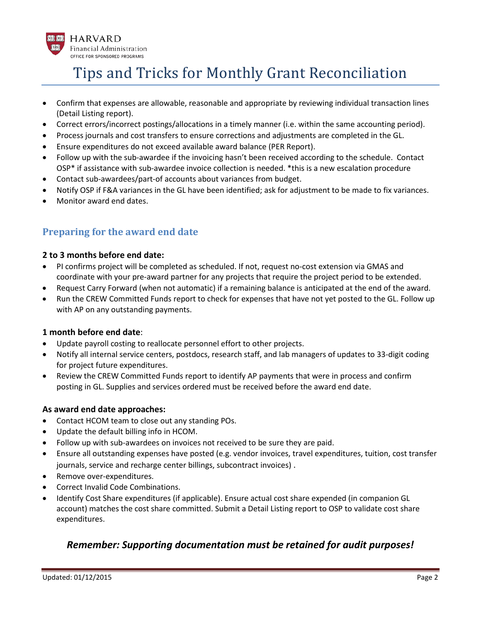

- Confirm that expenses are allowable, reasonable and appropriate by reviewing individual transaction lines (Detail Listing report).
- Correct errors/incorrect postings/allocations in a timely manner (i.e. within the same accounting period).
- Process journals and cost transfers to ensure corrections and adjustments are completed in the GL.
- Ensure expenditures do not exceed available award balance (PER Report).
- Follow up with the sub-awardee if the invoicing hasn't been received according to the schedule. Contact OSP\* if assistance with sub-awardee invoice collection is needed. \*this is a new escalation procedure
- Contact sub-awardees/part-of accounts about variances from budget.
- Notify OSP if F&A variances in the GL have been identified; ask for adjustment to be made to fix variances.
- Monitor award end dates.

## **Preparing for the award end date**

#### **2 to 3 months before end date:**

- PI confirms project will be completed as scheduled. If not, request no-cost extension via GMAS and coordinate with your pre-award partner for any projects that require the project period to be extended.
- Request Carry Forward (when not automatic) if a remaining balance is anticipated at the end of the award.
- Run the CREW Committed Funds report to check for expenses that have not yet posted to the GL. Follow up with AP on any outstanding payments.

#### **1 month before end date**:

- Update payroll costing to reallocate personnel effort to other projects.
- Notify all internal service centers, postdocs, research staff, and lab managers of updates to 33-digit coding for project future expenditures.
- Review the CREW Committed Funds report to identify AP payments that were in process and confirm posting in GL. Supplies and services ordered must be received before the award end date.

#### **As award end date approaches:**

- Contact HCOM team to close out any standing POs.
- Update the default billing info in HCOM.
- Follow up with sub-awardees on invoices not received to be sure they are paid.
- Ensure all outstanding expenses have posted (e.g. vendor invoices, travel expenditures, tuition, cost transfer journals, service and recharge center billings, subcontract invoices) .
- Remove over-expenditures.
- Correct Invalid Code Combinations.
- Identify Cost Share expenditures (if applicable). Ensure actual cost share expended (in companion GL account) matches the cost share committed. Submit a Detail Listing report to OSP to validate cost share expenditures.

### *Remember: Supporting documentation must be retained for audit purposes!*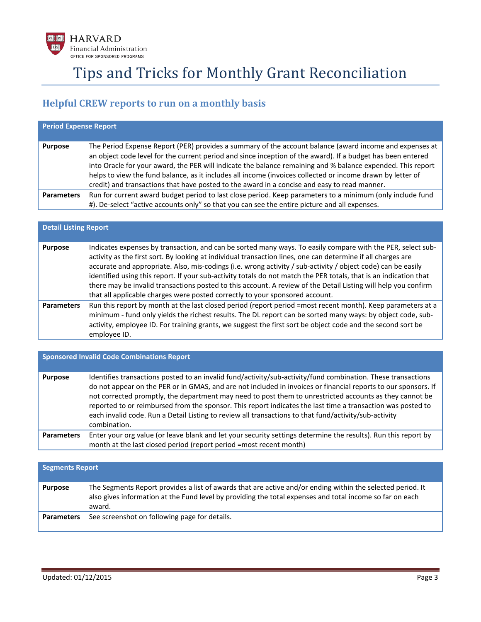

## **Helpful CREW reports to run on a monthly basis**

| <b>Period Expense Report</b> |                                                                                                                                                                                                                                                                                                                                                                                                                                                                                                                                                     |  |
|------------------------------|-----------------------------------------------------------------------------------------------------------------------------------------------------------------------------------------------------------------------------------------------------------------------------------------------------------------------------------------------------------------------------------------------------------------------------------------------------------------------------------------------------------------------------------------------------|--|
| <b>Purpose</b>               | The Period Expense Report (PER) provides a summary of the account balance (award income and expenses at<br>an object code level for the current period and since inception of the award). If a budget has been entered<br>into Oracle for your award, the PER will indicate the balance remaining and % balance expended. This report<br>helps to view the fund balance, as it includes all income (invoices collected or income drawn by letter of<br>credit) and transactions that have posted to the award in a concise and easy to read manner. |  |
| <b>Parameters</b>            | Run for current award budget period to last close period. Keep parameters to a minimum (only include fund<br>#). De-select "active accounts only" so that you can see the entire picture and all expenses.                                                                                                                                                                                                                                                                                                                                          |  |

| <b>Detail Listing Report</b> |                                                                                                                                                                                                                                                                                                                                                                                                                                                                                                                                                                                                                                                                    |  |
|------------------------------|--------------------------------------------------------------------------------------------------------------------------------------------------------------------------------------------------------------------------------------------------------------------------------------------------------------------------------------------------------------------------------------------------------------------------------------------------------------------------------------------------------------------------------------------------------------------------------------------------------------------------------------------------------------------|--|
| <b>Purpose</b>               | Indicates expenses by transaction, and can be sorted many ways. To easily compare with the PER, select sub-<br>activity as the first sort. By looking at individual transaction lines, one can determine if all charges are<br>accurate and appropriate. Also, mis-codings (i.e. wrong activity / sub-activity / object code) can be easily<br>identified using this report. If your sub-activity totals do not match the PER totals, that is an indication that<br>there may be invalid transactions posted to this account. A review of the Detail Listing will help you confirm<br>that all applicable charges were posted correctly to your sponsored account. |  |
| <b>Parameters</b>            | Run this report by month at the last closed period (report period =most recent month). Keep parameters at a<br>minimum - fund only yields the richest results. The DL report can be sorted many ways: by object code, sub-<br>activity, employee ID. For training grants, we suggest the first sort be object code and the second sort be<br>employee ID.                                                                                                                                                                                                                                                                                                          |  |

| <b>Sponsored Invalid Code Combinations Report</b> |                                                                                                                                                                                                                                                                                                                                                                                                                                                                                                                                                                                   |  |
|---------------------------------------------------|-----------------------------------------------------------------------------------------------------------------------------------------------------------------------------------------------------------------------------------------------------------------------------------------------------------------------------------------------------------------------------------------------------------------------------------------------------------------------------------------------------------------------------------------------------------------------------------|--|
| <b>Purpose</b>                                    | Identifies transactions posted to an invalid fund/activity/sub-activity/fund combination. These transactions<br>do not appear on the PER or in GMAS, and are not included in invoices or financial reports to our sponsors. If<br>not corrected promptly, the department may need to post them to unrestricted accounts as they cannot be<br>reported to or reimbursed from the sponsor. This report indicates the last time a transaction was posted to<br>each invalid code. Run a Detail Listing to review all transactions to that fund/activity/sub-activity<br>combination. |  |
| <b>Parameters</b>                                 | Enter your org value (or leave blank and let your security settings determine the results). Run this report by<br>month at the last closed period (report period =most recent month)                                                                                                                                                                                                                                                                                                                                                                                              |  |

| <b>Segments Report</b> |                                                                                                                                                                                                                                  |
|------------------------|----------------------------------------------------------------------------------------------------------------------------------------------------------------------------------------------------------------------------------|
| <b>Purpose</b>         | The Segments Report provides a list of awards that are active and/or ending within the selected period. It<br>also gives information at the Fund level by providing the total expenses and total income so far on each<br>award. |
| <b>Parameters</b>      | See screenshot on following page for details.                                                                                                                                                                                    |